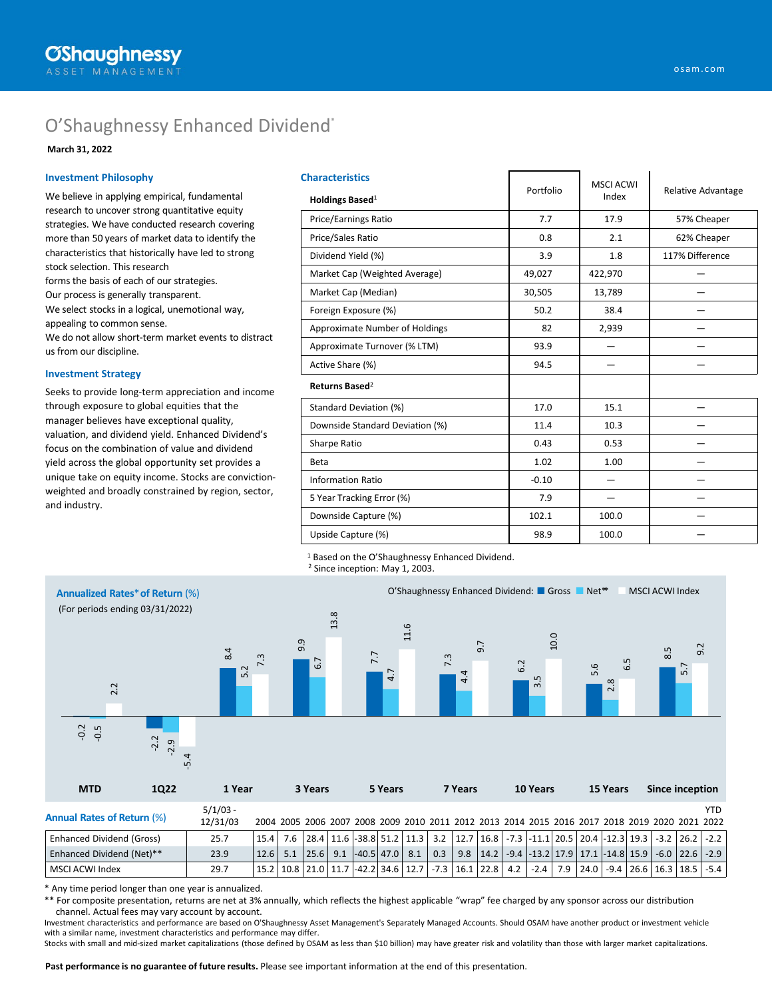# O'Shaughnessy Enhanced Dividend®

## **March 31, 2022**

#### **Investment Philosophy**

We believe in applying empirical, fundamental research to uncover strong quantitative equity strategies. We have conducted research covering more than 50 years of market data to identify the characteristics that historically have led to strong stock selection. This research forms the basis of each of our strategies. Our process is generally transparent. We select stocks in a logical, unemotional way, appealing to common sense. We do not allow short-term market events to distract us from our discipline.

### **Investment Strategy**

Seeks to provide long-term appreciation and income through exposure to global equities that the manager believes have exceptional quality, valuation, and dividend yield. Enhanced Dividend's focus on the combination of value and dividend yield across the global opportunity set provides a unique take on equity income. Stocks are convictionweighted and broadly constrained by region, sector, and industry.

| <b>Characteristics</b>          |           | <b>MSCI ACWI</b> | Relative Advantage |  |  |
|---------------------------------|-----------|------------------|--------------------|--|--|
| Holdings Based <sup>1</sup>     | Portfolio | Index            |                    |  |  |
| Price/Earnings Ratio            | 7.7       | 17.9             | 57% Cheaper        |  |  |
| Price/Sales Ratio               | 0.8       | 2.1              | 62% Cheaper        |  |  |
| Dividend Yield (%)              | 3.9       | 1.8              | 117% Difference    |  |  |
| Market Cap (Weighted Average)   | 49,027    | 422,970          |                    |  |  |
| Market Cap (Median)             | 30,505    | 13,789           |                    |  |  |
| Foreign Exposure (%)            | 50.2      | 38.4             |                    |  |  |
| Approximate Number of Holdings  | 82        | 2,939            |                    |  |  |
| Approximate Turnover (% LTM)    | 93.9      |                  |                    |  |  |
| Active Share (%)                | 94.5      |                  |                    |  |  |
| Returns Based <sup>2</sup>      |           |                  |                    |  |  |
| Standard Deviation (%)          | 17.0      | 15.1             |                    |  |  |
| Downside Standard Deviation (%) | 11.4      | 10.3             |                    |  |  |
| Sharpe Ratio                    | 0.43      | 0.53             |                    |  |  |
| <b>Beta</b>                     | 1.02      | 1.00             |                    |  |  |
| <b>Information Ratio</b>        | $-0.10$   |                  |                    |  |  |
| 5 Year Tracking Error (%)       | 7.9       |                  |                    |  |  |
| Downside Capture (%)            | 102.1     | 100.0            |                    |  |  |
| Upside Capture (%)              | 98.9      | 100.0            |                    |  |  |

<sup>1</sup> Based on the O'Shaughnessy Enhanced Dividend.

<sup>2</sup> Since inception: May 1, 2003.



\* Any time period longer than one year is annualized.

\*\* For composite presentation, returns are net at 3% annually, which reflects the highest applicable "wrap" fee charged by any sponsor across our distribution channel. Actual fees may vary account by account.

Investment characteristics and performance are based on O'Shaughnessy Asset Management's Separately Managed Accounts. Should OSAM have another product or investment vehicle with a similar name, investment characteristics and performance may differ.

Stocks with small and mid-sized market capitalizations (those defined by OSAM as less than \$10 billion) may have greater risk and volatility than those with larger market capitalizations.

**Past performance is no guarantee of future results.** Please see important information at the end of this presentation.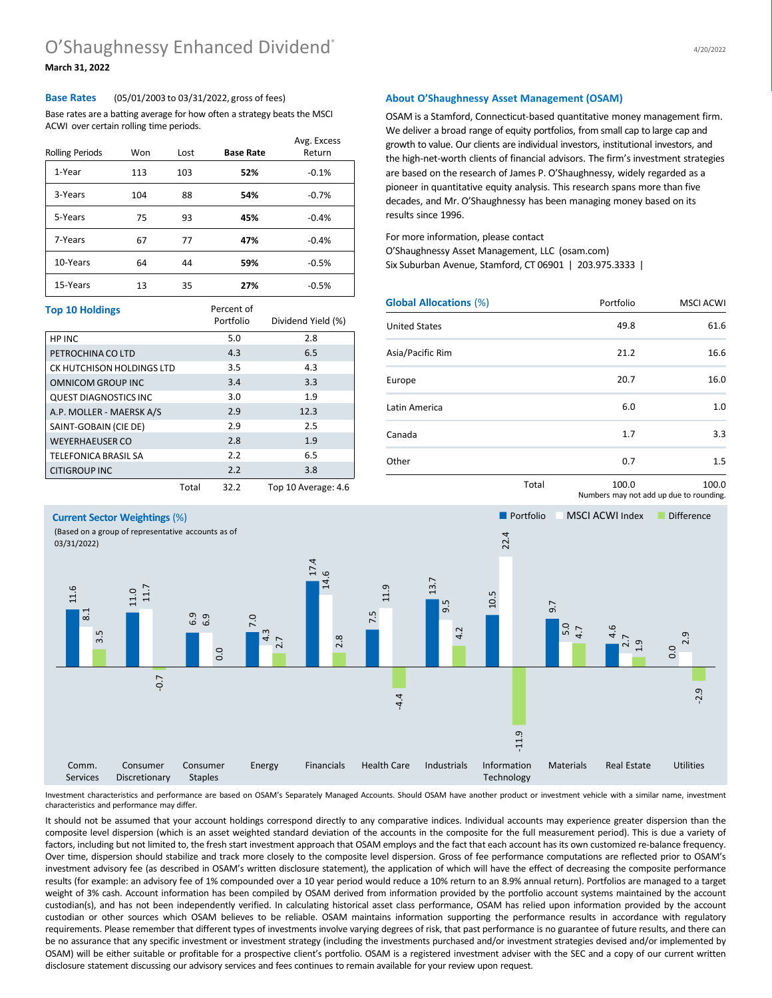## **March 31, 2022**

### **Base Rates** (05/01/2003 to 03/31/2022, gross of fees)

Base rates are a batting average for how often a strategy beats the MSCI ACWI over certain rolling time periods.

| <b>Rolling Periods</b> | Won | Lost | <b>Base Rate</b> | Avg. Excess<br>Return |
|------------------------|-----|------|------------------|-----------------------|
| 1-Year                 | 113 | 103  | 52%              | $-0.1%$               |
| 3-Years                | 104 | 88   | 54%              | $-0.7%$               |
| 5-Years                | 75  | 93   | 45%              | $-0.4%$               |
| 7-Years                | 67  | 77   | 47%              | $-0.4%$               |
| 10-Years               | 64  | 44   | 59%              | $-0.5%$               |
| 15-Years               | 13  | 35   | 27%              | $-0.5%$               |

| <b>Top 10 Holdings</b>       |       | Percent of<br>Portfolio | Dividend Yield (%)  |
|------------------------------|-------|-------------------------|---------------------|
| HP INC                       |       | 5.0                     | 2.8                 |
| PETROCHINA CO LTD            |       | 4.3                     | 6.5                 |
| CK HUTCHISON HOLDINGS LTD    |       | 3.5                     | 4.3                 |
| OMNICOM GROUP INC            |       | 3.4                     | 3.3                 |
| <b>QUEST DIAGNOSTICS INC</b> |       | 3.0                     | 1.9                 |
| A.P. MOLLER - MAERSK A/S     |       | 2.9                     | 12.3                |
| SAINT-GOBAIN (CIE DE)        |       | 2.9                     | 2.5                 |
| <b>WEYERHAEUSER CO</b>       |       | 2.8                     | 1.9                 |
| <b>TELEFONICA BRASIL SA</b>  |       | 2.2                     | 6.5                 |
| <b>CITIGROUP INC</b>         |       | 2.2                     | 3.8                 |
|                              | Total | 32.2                    | Top 10 Average: 4.6 |

## **About O'Shaughnessy Asset Management (OSAM)**

OSAM is a Stamford, Connecticut-based quantitative money management firm. We deliver a broad range of equity portfolios, from small cap to large cap and growth to value. Our clients are individual investors, institutional investors, and the high-net-worth clients of financial advisors. The firm's investment strategies are based on the research of James P. O'Shaughnessy, widely regarded as a pioneer in quantitative equity analysis. This research spans more than five decades, and Mr. O'Shaughnessy has been managing money based on its results since 1996.

For more information, please contact

O'Shaughnessy Asset Management, LLC (osam.com)

Six Suburban Avenue, Stamford, CT 06901 | 203.975.3333 |

| <b>Global Allocations (%)</b> |       | Portfolio | <b>MSCI ACWI</b> |  |  |
|-------------------------------|-------|-----------|------------------|--|--|
| <b>United States</b>          |       | 49.8      | 61.6             |  |  |
| Asia/Pacific Rim              |       | 21.2      | 16.6             |  |  |
| Europe                        |       | 20.7      | 16.0             |  |  |
| Latin America                 |       | 6.0       | 1.0              |  |  |
| Canada                        |       | 1.7       | 3.3              |  |  |
| Other                         |       | 0.7       | 1.5              |  |  |
|                               | Total | 100.0     | 100.0            |  |  |

Numbers may not add up due to rounding.



Investment characteristics and performance are based on OSAM's Separately Managed Accounts. Should OSAM have another product or investment vehicle with a similar name, investment characteristics and performance may differ.

It should not be assumed that your account holdings correspond directly to any comparative indices. Individual accounts may experience greater dispersion than the composite level dispersion (which is an asset weighted standard deviation of the accounts in the composite for the full measurement period). This is due a variety of factors, including but not limited to, the fresh start investment approach that OSAM employs and the fact that each account has its own customized re-balance frequency. Over time, dispersion should stabilize and track more closely to the composite level dispersion. Gross of fee performance computations are reflected prior to OSAM's investment advisory fee (as described in OSAM's written disclosure statement), the application of which will have the effect of decreasing the composite performance results (for example: an advisory fee of 1% compounded over a 10 year period would reduce a 10% return to an 8.9% annual return). Portfolios are managed to a target weight of 3% cash. Account information has been compiled by OSAM derived from information provided by the portfolio account systems maintained by the account custodian(s), and has not been independently verified. In calculating historical asset class performance, OSAM has relied upon information provided by the account custodian or other sources which OSAM believes to be reliable. OSAM maintains information supporting the performance results in accordance with regulatory requirements. Please remember that different types of investments involve varying degrees of risk, that past performance is no guarantee of future results, and there can be no assurance that any specific investment or investment strategy (including the investments purchased and/or investment strategies devised and/or implemented by OSAM) will be either suitable or profitable for a prospective client's portfolio. OSAM is a registered investment adviser with the SEC and a copy of our current written disclosure statement discussing our advisory services and fees continues to remain available for your review upon request.